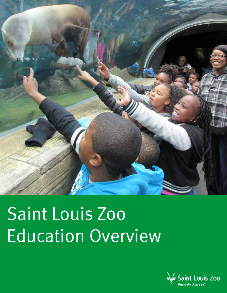

# Saint Louis Zoo Education Overview

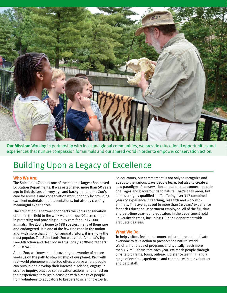

**Our Mission:** Working in partnership with local and global communities, we provide educational opportunities and experiences that nurture compassion for animals and our shared world in order to empower conservation action.

# Building Upon a Legacy of Excellence

#### **Who We Are:**

The Saint Louis Zoo has one of the nation's largest Zoo-based Education Departments. It was established more than 50 years ago to link visitors of every age and background to the Zoo's care for animals and conservation work, not only by providing excellent materials and presentations, but also by creating meaningful experiences.

The Education Department connects the Zoo's conservation efforts in the field to the work we do on our 90-acre campus in protecting and providing quality care for our 17,000 animals. The Zoo is home to 588 species, many of them rare and endangered. It is one of the few free zoos in the nation and, with more than 3 million annual visitors, it is among the most popular. The Saint Louis Zoo was voted America's Top Free Attraction and Best Zoo in USA Today's 10Best Readers' Choice Awards.

At the Zoo, we know that discovering the wonder of nature leads us on the path to stewardship of our planet. Rich with real-world phenomena, the Zoo offers a place where people can pursue and develop their interest in science, engage in science inquiry, practice conservation actions, and reflect on their experience through discussion with a range of people from volunteers to educators to keepers to scientific experts.

As educators, our commitment is not only to recognize and adapt to the various ways people learn, but also to create a new paradigm of conservation education that connects people of all ages and backgrounds to nature. That's a tall order, but ours is a highly qualified staff, offering over 317 combined years of experience in teaching, research and work with animals. This averages out to more than 16 years' experience for each Education Department employee. All of the full-time and part-time year-round educators in the department hold university degrees, including 10 in the department with graduate degrees.

#### **What We Do:**

To help visitors feel more connected to nature and motivate everyone to take action to preserve the natural world. We offer hundreds of programs and typically reach more than 1.7 million visitors each year. We reach people through on-site programs, tours, outreach, distance learning, and a range of events, experiences and contacts with our volunteer and paid staff.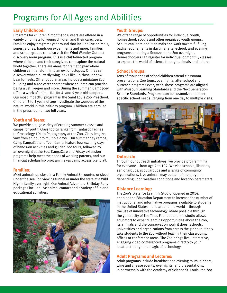# Programs for All Ages and Abilities

# **Early Childhood:**

Programs for children 4 months to 8 years are offered in a variety of formats for young children and their caregivers. Families enjoy programs year-round that include live animals, songs, stories, hands-on experiments and more. Families and school groups can also visit the Wind Wonder Outpost discovery room program. This is a child-directed program where children and their caregivers can explore the natural world together. There are areas for dramatic play where children can transform into an owl or octopus. Or they can discover what a butterfly wing looks like up close, or how bear fur feels. Other popular areas include a miniature Zoo building and a zoo career corner where children can practice being a vet, keeper and more. During the summer, Camp Joey offers a week of animal fun for 4- and 5-year-old campers. Our most impactful program is The Saint Louis Zoo Preschool. Children 3 to 5 years of age investigate the wonders of the natural world in this half-day program. Children are enrolled in the preschool for two full years.

#### **Youth and Teens:**

We provide a huge variety of exciting summer classes and camps for youth. Class topics range from Fantastic Felines to Grossology 101 to Photography at the Zoo. Class lengths vary from an hour to multiple days. Our summer day camps, Camp KangaZoo and Teen Camp, feature four exciting days of hands-on activities and guided Zoo tours, followed by an overnight at the Zoo. KangaCare and Friday extension programs help meet the needs of working parents, and our financial scholarship program makes camp accessible to all.

#### **Families:**

Meet animals up close in a Family Animal Encounter, or sleep under the sea lion viewing tunnel or under the stars at a Wild Nights family overnight. Our Animal Adventure Birthday Party packages include live animal contact and a variety of fun and educational activities.



# **Youth Groups:**

We offer a range of opportunities for individual youth, homeschool, scouts and other organized youth groups. Scouts can learn about animals and work toward fulfilling badge requirements in daytime, after-school, and evening programs or during a Snooze at the Zoo overnight. Homeschoolers can register for individual or monthly classes to explore the world of science through animals and nature.

## **School Groups:**

Tens of thousands of schoolchildren attend classroom presentations, Zoo tours, overnights, after-school and outreach programs every year. These programs are aligned with Missouri Learning Standards and the Next Generation Science Standards. Programs can be customized to meet specific school needs, ranging from one day to multiple visits.



## **Outreach:**

Through our outreach initiatives, we provide programming for everyone – from age 2 to 102. We visit schools, libraries, senior groups, scout groups and a range of community organizations. Live animals may be part of the program, depending upon weather conditions and location parameters.

## **Distance Learning:**

The Zoo's Distance Learning Studio, opened in 2014, enabled the Education Department to increase the number of instructional and informative programs available to students in the United States – and around the world – through the use of innovative technology. Made possible through the generosity of The Tilles Foundation, this studio allows educators to expand learning opportunities about the Zoo, its animals and the conservation work it does. Schools, universities and organizations from across the globe routinely take students to the Zoo without leaving their classrooms, offices or conference areas. The Zoo brings live, interactive, engaging video-conferenced programs directly to your location through the magic of technology.

## **Adult Programs and Lectures:**

Adult programs include breakfast and evening tours, dinners, wine and cheese events, overnights, and presentations. In partnership with the Academy of Science-St. Louis, the Zoo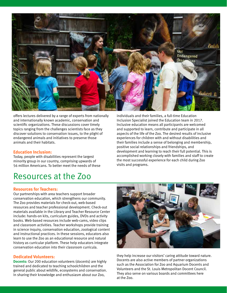

offers lectures delivered by a range of experts from nationally and internationally known academic, conservation and scientific organizations. These discussions cover timely topics ranging from the challenges scientists face as they discover solutions to conservation issues, to the plight of endangered animals and initiatives to preserve those animals and their habitats.

### **Education Inclusion:**

Today, people with disabilities represent the largest minority group in our country, comprising upwards of 56 million Americans. To better meet the needs of these

# Resources at the Zoo

#### **Resources for Teachers:**

Our partnerships with area teachers support broader conservation education, which strengthens our community. The Zoo provides materials for check-out, web-based resources and teacher professional development. Check-out materials available in the Library and Teacher Resource Center include: hands-on kits, curriculum guides, DVDs and activity books. Web-based resources include web-cams, video clips and classroom activities. Teacher workshops provide training in science inquiry, conservation education, zoological content and instructional practices. In these sessions, educators also learn to use the Zoo as an educational resource and natural history as curricular platform. These help educators integrate conservation education into their classroom curricula.

#### **Dedicated Volunteers:**

**Docents:** Our 200 education volunteers (docents) are highly trained and dedicated to teaching schoolchildren and the general public about wildlife, ecosystems and conservation. In sharing their knowledge and enthusiasm about our Zoo,

individuals and their families, a full-time Education Inclusion Specialist joined the Education team in 2017. Inclusive education means all participants are welcomed and supported to learn, contribute and participate in all aspects of the life of the Zoo. The desired results of inclusive experiences for children with and without disabilities and their families include a sense of belonging and membership, positive social relationships and friendships, and development and learning to reach their full potential. This is accomplished working closely with families and staff to create the most successful experience for each child during Zoo visits and programs.



they help increase our visitors' caring attitude toward nature. Docents are also active members of partner organizations such as the Association for Zoo and Aquarium Docents and Volunteers and the St. Louis Metropolitan Docent Council. They also serve on various boards and committees here at the Zoo.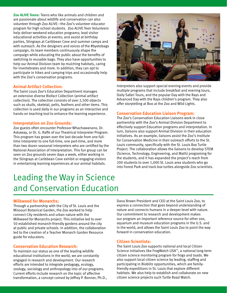**Zoo ALIVE Teens:** Teens who like animals and children and are passionate about wildlife and conservation can also volunteer through Zoo ALIVE—the Zoo's volunteer educator program for high school students. Zoo ALIVE Teen Volunteers help deliver weekend education programs; lead visitor educational activities at events; and assist at birthday parties, Stingrays at Caribbean Cove and summer camps and with outreach. As the designers and voices of the #byetobags campaign, its team members continuously shape the campaign while educating the public about the benefits of switching to reusable bags. They also have opportunities to help our Animal Division team by mulching habitats, caring for invertebrates and more. In addition, they can opt to participate in hikes and camping trips and occasionally help with the Zoo's conservation programs.

#### **Animal Artifact Collection:**

The Saint Louis Zoo's Education Department manages an extensive diverse Biofact Collection (animal artifact collection). The collection consists of over 2,500 objects such as skulls, skeletal, pelts, feathers and other items. This collection is used daily in our programs as an interactive and hands-on teaching tool to enhance the learning experience.

#### **Interpretation on Zoo Grounds:**

Zoo guests often encounter Professor Whachawanano, Dr. Askaway, or Dr. G. Raffe of our Theatrical Interpreter Program. This program has grown over the last decade from one fulltime interpreter to one full-time, one part-time, and more than two dozen seasonal interpreters who are certified by the National Association of Interpretation. This fun group can be seen on Zoo grounds seven days a week, either working in the Stingrays at Caribbean Cove exhibit or engaging visitors in entertaining learning experiences at our animal habitats.



Interpreters also support special evening events and provide multiple programs that include breakfast and evening tours, Daily Safari Tours, and the popular Day with the Rays and Advanced Day with the Rays children's program. They also offer storytelling at Boo at the Zoo and Wild Lights.

#### **Conservation Education Liaison Program:**

The Zoo's Conservation Education Liaisons work in close partnership with the Zoo's Animal Division Department to effectively support Education programs and interpretation. In turn, liaisons also support Animal Division in their education initiatives. As an example, liaisons assist the Zoo's Institute for Conservation Medicine in their outreach efforts to the St. Louis community, specifically with the St. Louis Box Turtle Project. The collaboration allows the liaisons to develop STEM (Science, Technology, Engineering, and Math) programing for the students, and it has expanded the project's reach from 200 students to over 1,000 St. Louis area students who go into Forest Park and track box turtles alongside Zoo scientists.

# Leading the Way in Science and Conservation Education

#### **Milkweed for Monarchs:**

Through a partnership with the City of St. Louis and the Missouri Botanical Garden, the Zoo worked to help connect City residents and urban nature with the Milkweed for Monarchs project. This initiative led to over 50 established monarch-friendly gardens around the city at public and private schools. In addition, the collaboration led to the creation of a Teacher Monarch Garden Resource guide for educators.

#### **Conservation Education Research:**

To maintain our status as one of the leading wildlife educational institutions in the world, we are constantly engaged in research and development. Our research efforts are intended to integrate pedagogy, ecology, zoology, sociology and anthropology into of our programs. Current efforts include research on the topic of affective transformation, a concept coined by Jeffrey P. Bonner, Ph.D.,

Dana Brown President and CEO at the Saint Louis Zoo, to express a connection that goes beyond understanding of nature and connects humans in a deeper level with nature. Our commitment to research and development makes our program an important reference source for other zoo, aquarium and museum education programs in the U.S. and in the world, and allows the Saint Louis Zoo to point the way forward in conservation education.

#### **Citizen Scientists:**

The Saint Louis Zoo supports national and local Citizen Science initiatives like FrogWatch USA™, a national long-term citizen science monitoring program for frogs and toads. We also support local citizen science by leading, staffing and participating in Bioblitz opportunities, which are familyfriendly expeditions in St. Louis that explore different habitats. We also help to establish and collaborate on new citizen science projects such Turtle Road Watch.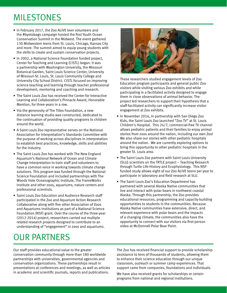# MILESTONES

- In February 2017, the Zoo ALIVE teen volunteers and the #byetobags campaign hosted the first Youth Ocean Conservation Summit in the Midwest. The event gathered 130 Midwestern teens from St. Louis, Chicago, Kansas City and more. The summit aimed to equip young students with the skills to create and sustain conservation projects.
- In 2002, a National Science Foundation funded project, Center for Teaching and Learning (CISTL) began. It was a partnership with Washington University, the Missouri Botanical Garden, Saint Louis Science Center, University of Missouri-St. Louis, St. Louis Community College and University City School District. CISTL focused on improving science teaching and learning through teacher professional development, mentoring and coaching and research.
- The Saint Louis Zoo has received the Center for Interactive Learning and Collaboration's Pinnacle Award, Honorable Mention, for three years in a row.
- Via the generosity of The Tilles Foundation, a new distance learning studio was constructed, dedicated to the continuation of providing quality programs to children around the world.
- A Saint Louis Zoo representative serves on the National Association for Interpretation's Standards Committee with the purpose of working across disciplines in interpretation to establish best practices, knowledge, skills and abilities for the industry.
- The Saint Louis Zoo has worked with The New England Aquarium's National Network of Ocean and Climate Change Interpretation to train staff and volunteers to have a common voice in working towards climate change solutions. This program was funded through the National Science Foundation and included partnerships with The Woods Hole Oceanographic Institute, The FrameWorks Institute and other zoos, aquariums, nature centers and professional scientists.
- Saint Louis Zoo Education and Audience Research staff participated in the Zoo and Aquarium Action Research Collaborative along with five other Association of Zoos and Aquariums institutions as part of a National Science Foundation (NSF) grant. Over the course of the three-year (2012-2014) project, researchers carried out multiple related research projects designed to contribute to an understanding of "engagement" in zoos and aquariums.

# OUR PARTNERS



These researchers studied engagement levels of Zoo Education program participants and general public Zoo visitors while visiting various Zoo exhibits and while participating in a facilitated activity designed to engage them in close observations of animal behavior. The project led researchers to support their hypothesis that a staff-facilitated activity can significantly increase visitor engagement at Zoo exhibits.

- In November 2016, in partnership with San Diego Zoo Kids, the Saint Louis Zoo launched "Zoo TV" at St. Louis Children's Hospital. This 24/7, commercial-free TV channel allows pediatric patients and their families to enjoy animal stories from zoos around the nation, including our own Zoo! We also share our stories with other pediatric hospitals around the nation. We are currently exploring options to bring this opportunity to other pediatric hospitals in the greater St. Louis area.
- The Saint Louis Zoo partners with Saint Louis University (SLU) scientists on the TRTLE project – Teaching Research through Turtle Life-History and Ecophysiology. This NSFfunded study allows eight of our Zoo ALIVE teens per year to participate in laboratory and field research at SLU.
- The Saint Louis Zoo's Education Department has partnered with several Alaska Native communities that live and interact with polar bears in northwest coastal Alaska. Through this partnership, the Zoo provides educational resources, programming and capacity-building opportunities to students in the communities. Because Alaska Native communities have extensive, direct, and relevant experience with polar bears and the impacts of a changing climate, the communities also have the opportunity to connect with our visitors via first-person video at McDonnell Polar Bear Point.

Our staff provides educational value to the greater conservation community through more than 180 worldwide partnerships with universities, governmental agencies and conservation organizations. These partnerships result in presentations at conferences and meetings, as well as articles in academic and scientific journals, reports and publications.

The Zoo has received financial support to provide scholarship assistance to tens of thousands of students, allowing them to enhance their science education through our unique classroom, outreach or summer camp experiences. That support came from companies, foundations and individuals.

We have also received grants for scholarships or certain programs from national and regional institutions.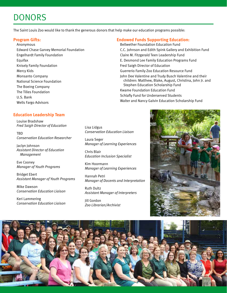# **DONORS**

The Saint Louis Zoo would like to thank the generous donors that help make our education programs possible:

### **Program Gifts:**

Anonymous Edward Chase Garvey Memorial Foundation Engelhardt Family Foundation Equifax Knisely Family Foundation Mercy Kids Monsanto Company National Science Foundation The Boeing Company The Tilles Foundation U.S. Bank Wells Fargo Advisors

### **Education Leadership Team**

Louise Bradshaw *Fred Saigh Director of Education*

**TRD** *Conservation Education Researcher*

Jaclyn Johnson *Assistant Director of Education Management* 

Eve Cooney *Manager of Youth Programs*

Bridget Ebert *Assistant Manager of Youth Programs*

Mike Dawson *Conservation Education Liaison*

Keri Lammering *Conservation Education Liaison*

# **Endowed Funds Supporting Education:**

Bellwether Foundation Education Fund C.C. Johnson and Edith Spink Gallery and Exhibition Fund Claire M. Fitzgerald Teen Leadership Fund E. Desmond Lee Family Education Programs Fund Fred Saigh Director of Education Guerrerio Family Zoo Education Resource Fund John Dee Valentine and Trudy Busch Valentine and their children: Matthew, Blake, August, Christina, John Jr. and Stephen Education Scholarship Fund Kwame Foundation Education Fund Schlafly Fund for Underserved Students Walter and Nancy Galvin Education Scholarship Fund

Lisa Lidgus *Conservation Education Liaison*

Laura Seger *Manager of Learning Experiences*

Chris Blair *Education Inclusion Specialist*

Kim Hoormann *Manager of Learning Experiences*

Hannah Petri *Manager of Docents and Interpretation* 

Ruth Dultz *Assistant Manager of Interpreters*

Jill Gordon *Zoo Librarian/Archivist*